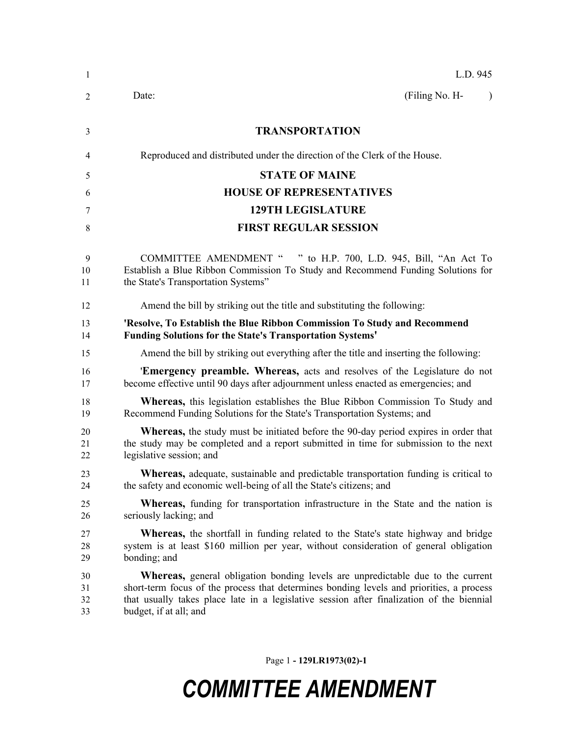| -1                   | L.D. 945                                                                                                                                                                                                                                                                                                   |  |  |  |
|----------------------|------------------------------------------------------------------------------------------------------------------------------------------------------------------------------------------------------------------------------------------------------------------------------------------------------------|--|--|--|
| 2                    | (Filing No. H-<br>Date:<br>$\lambda$                                                                                                                                                                                                                                                                       |  |  |  |
| 3                    | <b>TRANSPORTATION</b>                                                                                                                                                                                                                                                                                      |  |  |  |
| 4                    | Reproduced and distributed under the direction of the Clerk of the House.                                                                                                                                                                                                                                  |  |  |  |
| 5                    | <b>STATE OF MAINE</b>                                                                                                                                                                                                                                                                                      |  |  |  |
| 6                    | <b>HOUSE OF REPRESENTATIVES</b>                                                                                                                                                                                                                                                                            |  |  |  |
| 7                    | <b>129TH LEGISLATURE</b>                                                                                                                                                                                                                                                                                   |  |  |  |
| 8                    | <b>FIRST REGULAR SESSION</b>                                                                                                                                                                                                                                                                               |  |  |  |
| 9<br>10<br>11        | COMMITTEE AMENDMENT " " to H.P. 700, L.D. 945, Bill, "An Act To<br>Establish a Blue Ribbon Commission To Study and Recommend Funding Solutions for<br>the State's Transportation Systems"                                                                                                                  |  |  |  |
| 12                   | Amend the bill by striking out the title and substituting the following:                                                                                                                                                                                                                                   |  |  |  |
| 13<br>14             | 'Resolve, To Establish the Blue Ribbon Commission To Study and Recommend<br><b>Funding Solutions for the State's Transportation Systems'</b>                                                                                                                                                               |  |  |  |
| 15                   | Amend the bill by striking out everything after the title and inserting the following:                                                                                                                                                                                                                     |  |  |  |
| 16<br>17             | <b>Emergency preamble. Whereas,</b> acts and resolves of the Legislature do not<br>become effective until 90 days after adjournment unless enacted as emergencies; and                                                                                                                                     |  |  |  |
| 18<br>19             | <b>Whereas,</b> this legislation establishes the Blue Ribbon Commission To Study and<br>Recommend Funding Solutions for the State's Transportation Systems; and                                                                                                                                            |  |  |  |
| 20<br>21<br>22       | <b>Whereas</b> , the study must be initiated before the 90-day period expires in order that<br>the study may be completed and a report submitted in time for submission to the next<br>legislative session; and                                                                                            |  |  |  |
| 23<br>24             | <b>Whereas,</b> adequate, sustainable and predictable transportation funding is critical to<br>the safety and economic well-being of all the State's citizens; and                                                                                                                                         |  |  |  |
| 25<br>26             | <b>Whereas,</b> funding for transportation infrastructure in the State and the nation is<br>seriously lacking; and                                                                                                                                                                                         |  |  |  |
| 27<br>28<br>29       | <b>Whereas</b> , the shortfall in funding related to the State's state highway and bridge<br>system is at least \$160 million per year, without consideration of general obligation<br>bonding; and                                                                                                        |  |  |  |
| 30<br>31<br>32<br>33 | <b>Whereas</b> , general obligation bonding levels are unpredictable due to the current<br>short-term focus of the process that determines bonding levels and priorities, a process<br>that usually takes place late in a legislative session after finalization of the biennial<br>budget, if at all; and |  |  |  |

Page 1 **- 129LR1973(02)-1**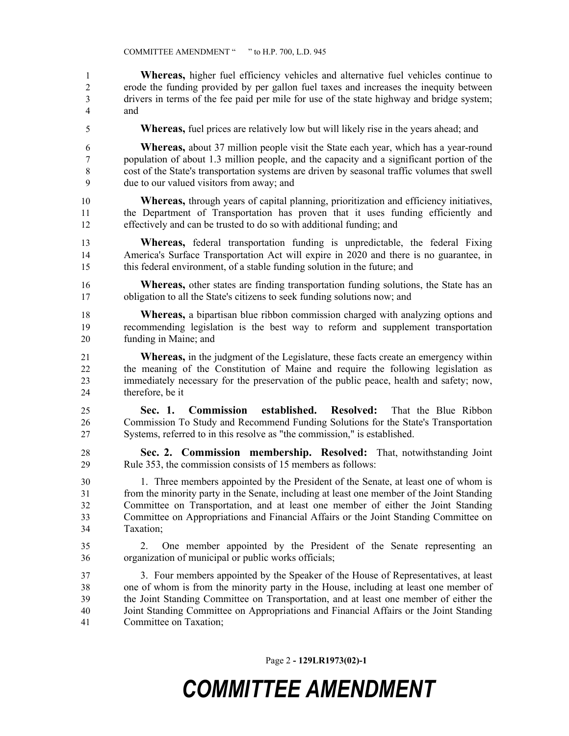**Whereas,** higher fuel efficiency vehicles and alternative fuel vehicles continue to erode the funding provided by per gallon fuel taxes and increases the inequity between drivers in terms of the fee paid per mile for use of the state highway and bridge system; and

**Whereas,** fuel prices are relatively low but will likely rise in the years ahead; and

 **Whereas,** about 37 million people visit the State each year, which has a year-round population of about 1.3 million people, and the capacity and a significant portion of the cost of the State's transportation systems are driven by seasonal traffic volumes that swell due to our valued visitors from away; and

- **Whereas,** through years of capital planning, prioritization and efficiency initiatives, the Department of Transportation has proven that it uses funding efficiently and effectively and can be trusted to do so with additional funding; and
- **Whereas,** federal transportation funding is unpredictable, the federal Fixing America's Surface Transportation Act will expire in 2020 and there is no guarantee, in this federal environment, of a stable funding solution in the future; and
- **Whereas,** other states are finding transportation funding solutions, the State has an obligation to all the State's citizens to seek funding solutions now; and
- **Whereas,** a bipartisan blue ribbon commission charged with analyzing options and recommending legislation is the best way to reform and supplement transportation funding in Maine; and
- **Whereas,** in the judgment of the Legislature, these facts create an emergency within the meaning of the Constitution of Maine and require the following legislation as immediately necessary for the preservation of the public peace, health and safety; now, therefore, be it
- **Sec. 1. Commission established. Resolved:** That the Blue Ribbon Commission To Study and Recommend Funding Solutions for the State's Transportation Systems, referred to in this resolve as "the commission," is established.
- **Sec. 2. Commission membership. Resolved:** That, notwithstanding Joint Rule 353, the commission consists of 15 members as follows:
- 1. Three members appointed by the President of the Senate, at least one of whom is from the minority party in the Senate, including at least one member of the Joint Standing Committee on Transportation, and at least one member of either the Joint Standing Committee on Appropriations and Financial Affairs or the Joint Standing Committee on Taxation;
- 2. One member appointed by the President of the Senate representing an organization of municipal or public works officials;
- 3. Four members appointed by the Speaker of the House of Representatives, at least one of whom is from the minority party in the House, including at least one member of the Joint Standing Committee on Transportation, and at least one member of either the Joint Standing Committee on Appropriations and Financial Affairs or the Joint Standing Committee on Taxation;

Page 2 **- 129LR1973(02)-1**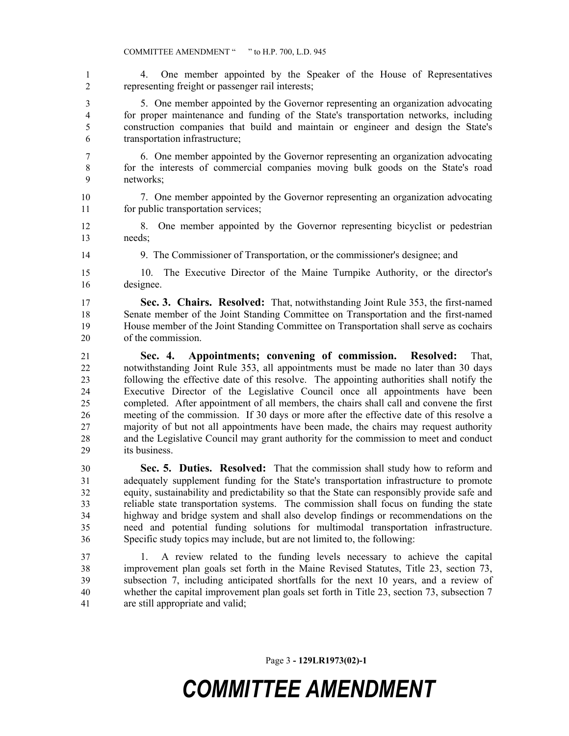4. One member appointed by the Speaker of the House of Representatives representing freight or passenger rail interests;

 5. One member appointed by the Governor representing an organization advocating for proper maintenance and funding of the State's transportation networks, including construction companies that build and maintain or engineer and design the State's transportation infrastructure;

- 6. One member appointed by the Governor representing an organization advocating for the interests of commercial companies moving bulk goods on the State's road networks;
- 7. One member appointed by the Governor representing an organization advocating for public transportation services;
- 8. One member appointed by the Governor representing bicyclist or pedestrian needs;
- 

9. The Commissioner of Transportation, or the commissioner's designee; and

 10. The Executive Director of the Maine Turnpike Authority, or the director's designee.

 **Sec. 3. Chairs. Resolved:** That, notwithstanding Joint Rule 353, the first-named Senate member of the Joint Standing Committee on Transportation and the first-named House member of the Joint Standing Committee on Transportation shall serve as cochairs of the commission.

 **Sec. 4. Appointments; convening of commission. Resolved:** That, notwithstanding Joint Rule 353, all appointments must be made no later than 30 days following the effective date of this resolve. The appointing authorities shall notify the Executive Director of the Legislative Council once all appointments have been completed. After appointment of all members, the chairs shall call and convene the first meeting of the commission. If 30 days or more after the effective date of this resolve a majority of but not all appointments have been made, the chairs may request authority and the Legislative Council may grant authority for the commission to meet and conduct its business.

 **Sec. 5. Duties. Resolved:** That the commission shall study how to reform and adequately supplement funding for the State's transportation infrastructure to promote equity, sustainability and predictability so that the State can responsibly provide safe and reliable state transportation systems. The commission shall focus on funding the state highway and bridge system and shall also develop findings or recommendations on the need and potential funding solutions for multimodal transportation infrastructure. Specific study topics may include, but are not limited to, the following:

 1. A review related to the funding levels necessary to achieve the capital improvement plan goals set forth in the Maine Revised Statutes, Title 23, section 73, subsection 7, including anticipated shortfalls for the next 10 years, and a review of whether the capital improvement plan goals set forth in Title 23, section 73, subsection 7 are still appropriate and valid;

Page 3 **- 129LR1973(02)-1**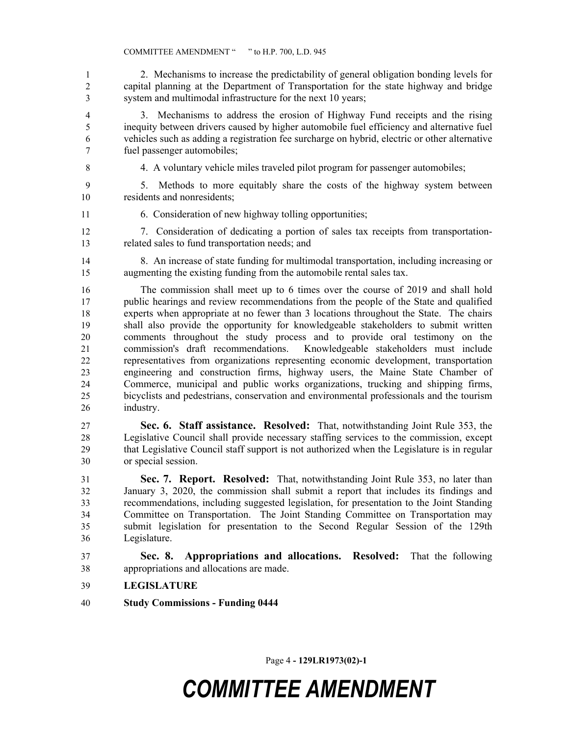2. Mechanisms to increase the predictability of general obligation bonding levels for capital planning at the Department of Transportation for the state highway and bridge system and multimodal infrastructure for the next 10 years;

 3. Mechanisms to address the erosion of Highway Fund receipts and the rising inequity between drivers caused by higher automobile fuel efficiency and alternative fuel vehicles such as adding a registration fee surcharge on hybrid, electric or other alternative fuel passenger automobiles;

4. A voluntary vehicle miles traveled pilot program for passenger automobiles;

 5. Methods to more equitably share the costs of the highway system between residents and nonresidents;

6. Consideration of new highway tolling opportunities;

 7. Consideration of dedicating a portion of sales tax receipts from transportation-related sales to fund transportation needs; and

 8. An increase of state funding for multimodal transportation, including increasing or augmenting the existing funding from the automobile rental sales tax.

 The commission shall meet up to 6 times over the course of 2019 and shall hold public hearings and review recommendations from the people of the State and qualified experts when appropriate at no fewer than 3 locations throughout the State. The chairs shall also provide the opportunity for knowledgeable stakeholders to submit written comments throughout the study process and to provide oral testimony on the commission's draft recommendations. Knowledgeable stakeholders must include representatives from organizations representing economic development, transportation engineering and construction firms, highway users, the Maine State Chamber of Commerce, municipal and public works organizations, trucking and shipping firms, bicyclists and pedestrians, conservation and environmental professionals and the tourism industry.

 **Sec. 6. Staff assistance. Resolved:** That, notwithstanding Joint Rule 353, the Legislative Council shall provide necessary staffing services to the commission, except that Legislative Council staff support is not authorized when the Legislature is in regular or special session.

 **Sec. 7. Report. Resolved:** That, notwithstanding Joint Rule 353, no later than January 3, 2020, the commission shall submit a report that includes its findings and recommendations, including suggested legislation, for presentation to the Joint Standing Committee on Transportation. The Joint Standing Committee on Transportation may submit legislation for presentation to the Second Regular Session of the 129th Legislature.

 **Sec. 8. Appropriations and allocations. Resolved:** That the following appropriations and allocations are made.

- **LEGISLATURE**
- **Study Commissions Funding 0444**

Page 4 **- 129LR1973(02)-1**